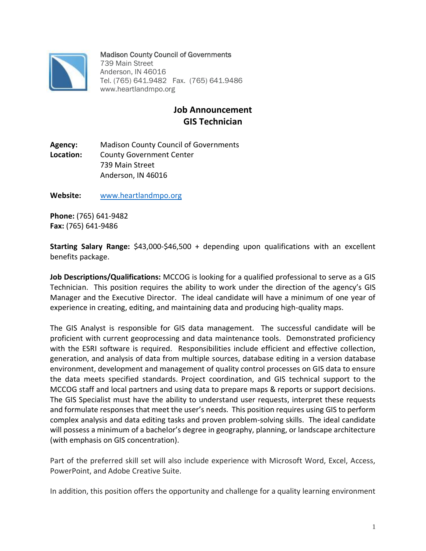

## Madison County Council of Governments

739 Main Street Anderson, IN 46016 Tel. (765) 641.9482 Fax. (765) 641.9486 www.heartlandmpo.org

## **Job Announcement GIS Technician**

**Agency:** Madison County Council of Governments **Location:** County Government Center 739 Main Street Anderson, IN 46016

**Website:** [www.heartlandmpo.org](http://www.heartlandmpo.org/)

**Phone:** (765) 641-9482 **Fax:** (765) 641-9486

**Starting Salary Range:** \$43,000-\$46,500 + depending upon qualifications with an excellent benefits package.

**Job Descriptions/Qualifications:** MCCOG is looking for a qualified professional to serve as a GIS Technician. This position requires the ability to work under the direction of the agency's GIS Manager and the Executive Director. The ideal candidate will have a minimum of one year of experience in creating, editing, and maintaining data and producing high-quality maps.

The GIS Analyst is responsible for GIS data management. The successful candidate will be proficient with current geoprocessing and data maintenance tools. Demonstrated proficiency with the ESRI software is required. Responsibilities include efficient and effective collection, generation, and analysis of data from multiple sources, database editing in a version database environment, development and management of quality control processes on GIS data to ensure the data meets specified standards. Project coordination, and GIS technical support to the MCCOG staff and local partners and using data to prepare maps & reports or support decisions. The GIS Specialist must have the ability to understand user requests, interpret these requests and formulate responses that meet the user's needs. This position requires using GIS to perform complex analysis and data editing tasks and proven problem-solving skills. The ideal candidate will possess a minimum of a bachelor's degree in geography, planning, or landscape architecture (with emphasis on GIS concentration).

Part of the preferred skill set will also include experience with Microsoft Word, Excel, Access, PowerPoint, and Adobe Creative Suite.

In addition, this position offers the opportunity and challenge for a quality learning environment